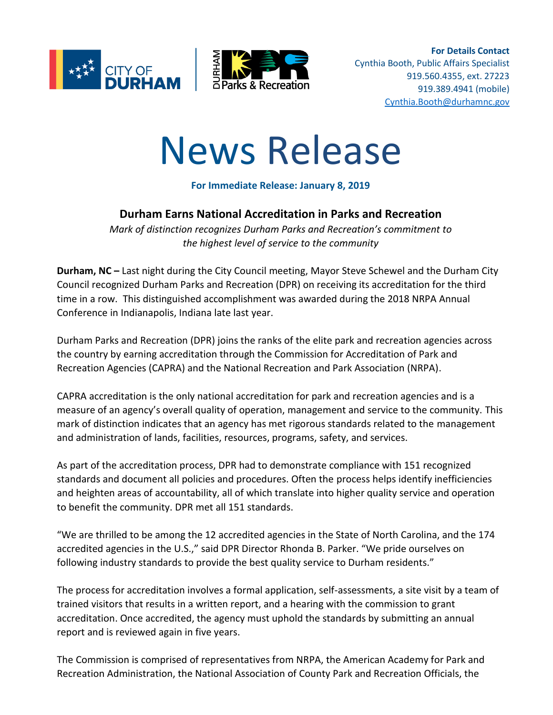



**For Details Contact** Cynthia Booth, Public Affairs Specialist 919.560.4355, ext. 27223 919.389.4941 (mobile) [Cynthia.Booth@durhamnc.gov](mailto:Cynthia.Booth@durhamnc.gov)

# News Release

### **For Immediate Release: January 8, 2019**

## **Durham Earns National Accreditation in Parks and Recreation**

*Mark of distinction recognizes Durham Parks and Recreation's commitment to the highest level of service to the community*

**Durham, NC –** Last night during the City Council meeting, Mayor Steve Schewel and the Durham City Council recognized Durham Parks and Recreation (DPR) on receiving its accreditation for the third time in a row. This distinguished accomplishment was awarded during the 2018 NRPA Annual Conference in Indianapolis, Indiana late last year.

Durham Parks and Recreation (DPR) joins the ranks of the elite park and recreation agencies across the country by earning accreditation through the Commission for Accreditation of Park and Recreation Agencies (CAPRA) and the National Recreation and Park Association (NRPA).

CAPRA accreditation is the only national accreditation for park and recreation agencies and is a measure of an agency's overall quality of operation, management and service to the community. This mark of distinction indicates that an agency has met rigorous standards related to the management and administration of lands, facilities, resources, programs, safety, and services.

As part of the accreditation process, DPR had to demonstrate compliance with 151 recognized standards and document all policies and procedures. Often the process helps identify inefficiencies and heighten areas of accountability, all of which translate into higher quality service and operation to benefit the community. DPR met all 151 standards.

"We are thrilled to be among the 12 accredited agencies in the State of North Carolina, and the 174 accredited agencies in the U.S.," said DPR Director Rhonda B. Parker. "We pride ourselves on following industry standards to provide the best quality service to Durham residents."

The process for accreditation involves a formal application, self-assessments, a site visit by a team of trained visitors that results in a written report, and a hearing with the commission to grant accreditation. Once accredited, the agency must uphold the standards by submitting an annual report and is reviewed again in five years.

The Commission is comprised of representatives from NRPA, the American Academy for Park and Recreation Administration, the National Association of County Park and Recreation Officials, the